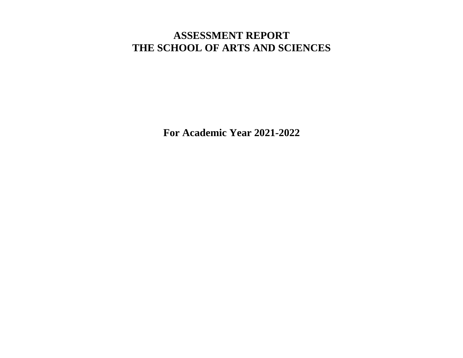## **ASSESSMENT REPORT THE SCHOOL OF ARTS AND SCIENCES**

**For Academic Year 2021-2022**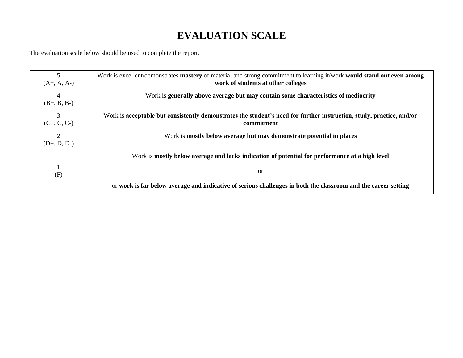# **EVALUATION SCALE**

The evaluation scale below should be used to complete the report.

| 5<br>$(A+, A, A-)$              | Work is excellent/demonstrates mastery of material and strong commitment to learning it/work would stand out even among<br>work of students at other colleges |
|---------------------------------|---------------------------------------------------------------------------------------------------------------------------------------------------------------|
| 4<br>$(B+, B, B-)$              | Work is generally above average but may contain some characteristics of mediocrity                                                                            |
| 3<br>$(C+, C, C-)$              | Work is acceptable but consistently demonstrates the student's need for further instruction, study, practice, and/or<br>commitment                            |
| $\overline{2}$<br>$(D+, D, D-)$ | Work is mostly below average but may demonstrate potential in places                                                                                          |
|                                 | Work is mostly below average and lacks indication of potential for performance at a high level                                                                |
| (F)                             | <b>or</b>                                                                                                                                                     |
|                                 | or work is far below average and indicative of serious challenges in both the classroom and the career setting                                                |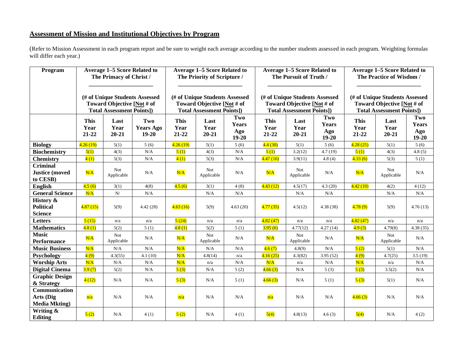### **Assessment of Mission and Institutional Objectives by Program**

(Refer to Mission Assessment in each program report and be sure to weight each average according to the number students assessed in each program. Weighting formulas will differ each year.)

| Program                                                    | <b>Average 1–5 Score Related to</b><br>The Primacy of Christ /                                   |                           | <b>Average 1–5 Score Related to</b><br>The Priority of Scripture /                               |                              | <b>Average 1–5 Score Related to</b><br>The Pursuit of Truth /                                    |                                         |                              | <b>Average 1–5 Score Related to</b><br>The Practice of Wisdom /                                  |                                  |                              |                           |                                |
|------------------------------------------------------------|--------------------------------------------------------------------------------------------------|---------------------------|--------------------------------------------------------------------------------------------------|------------------------------|--------------------------------------------------------------------------------------------------|-----------------------------------------|------------------------------|--------------------------------------------------------------------------------------------------|----------------------------------|------------------------------|---------------------------|--------------------------------|
|                                                            | (# of Unique Students Assessed<br>Toward Objective [Not # of<br><b>Total Assessment Points])</b> |                           | (# of Unique Students Assessed<br>Toward Objective [Not # of<br><b>Total Assessment Points])</b> |                              | (# of Unique Students Assessed<br>Toward Objective [Not # of<br><b>Total Assessment Points])</b> |                                         |                              | (# of Unique Students Assessed<br>Toward Objective [Not # of<br><b>Total Assessment Points])</b> |                                  |                              |                           |                                |
|                                                            | <b>This</b><br>Year<br>21-22                                                                     | Last<br>Year<br>$20 - 21$ | Two<br><b>Years Ago</b><br>$19 - 20$                                                             | <b>This</b><br>Year<br>21-22 | Last<br>Year<br>$20 - 21$                                                                        | Two<br><b>Years</b><br>Ago<br>$19 - 20$ | <b>This</b><br>Year<br>21-22 | Last<br>Year<br>$20 - 21$                                                                        | Two<br>Years<br>Ago<br>$19 - 20$ | <b>This</b><br>Year<br>21-22 | Last<br>Year<br>$20 - 21$ | Two<br>Years<br>Ago<br>$19-20$ |
| <b>Biology</b>                                             | 4.26(19)                                                                                         | 5(1)                      | 5(6)                                                                                             | 4.26(19)                     | 5(1)                                                                                             | 5(6)                                    | 4.4(30)                      | 5(1)                                                                                             | 5(6)                             | 4.28(25)                     | 5(1)                      | 5(6)                           |
| <b>Biochemistry</b>                                        | 5(1)                                                                                             | 4(3)                      | N/A                                                                                              | 5(1)                         | 4(3)                                                                                             | N/A                                     | 5(1)                         | 3.2(12)                                                                                          | 4.7(19)                          | 5(1)                         | 4(3)                      | 4.8(5)                         |
| <b>Chemistry</b>                                           | 4(1)                                                                                             | 5(3)                      | N/A                                                                                              | 4(1)                         | 5(3)                                                                                             | N/A                                     | 4.47(16)                     | 3.9(11)                                                                                          | 4.8(4)                           | 4.33(6)                      | 5(3)                      | 5(1)                           |
| <b>Criminal</b><br><b>Justice</b> (moved<br>to CESB)       | N/A                                                                                              | Not<br>Applicable         | N/A                                                                                              | N/A                          | <b>Not</b><br>Applicable                                                                         | N/A                                     | N/A                          | <b>Not</b><br>Applicable                                                                         | N/A                              | N/A                          | <b>Not</b><br>Applicable  | N/A                            |
| <b>English</b>                                             | 4.5(6)                                                                                           | 3(1)                      | 4(8)                                                                                             | 4.5(6)                       | 3(1)                                                                                             | 4(8)                                    | 4.43(12)                     | 4.5(17)                                                                                          | 4.3(20)                          | 4.42(10)                     | 4(2)                      | 4(12)                          |
| <b>General Science</b>                                     | N/A                                                                                              | ${\bf N} /$               | N/A                                                                                              |                              | N/A                                                                                              | N/A                                     |                              | N/A                                                                                              | N/A                              |                              | N/A                       | N/A                            |
| <b>History &amp;</b><br><b>Political</b><br><b>Science</b> | 4.87(15)                                                                                         | 5(9)                      | 4.42(28)                                                                                         | 4.63(16)                     | 5(9)                                                                                             | 4.63(20)                                | 4.77(35)                     | 4.5(12)                                                                                          | 4.38(38)                         | 4.78(9)                      | 5(9)                      | 4.76(13)                       |
| <b>Letters</b>                                             | 5(15)                                                                                            | n/a                       | n/a                                                                                              | 5(24)                        | n/a                                                                                              | n/a                                     | 4.82(47)                     | n/a                                                                                              | n/a                              | 4.82(47)                     | n/a                       | n/a                            |
| <b>Mathematics</b>                                         | 4.8(1)                                                                                           | 5(2)                      | 5(1)                                                                                             | 4.8(1)                       | 5(2)                                                                                             | 5(1)                                    | 3.95(6)                      | 4.77(12)                                                                                         | 4.27(14)                         | 4.9(3)                       | 4.79(8)                   | 4.38(35)                       |
| <b>Music</b><br><b>Performance</b>                         | N/A                                                                                              | <b>Not</b><br>Applicable  | N/A                                                                                              | N/A                          | <b>Not</b><br>Applicable                                                                         | N/A                                     | N/A                          | <b>Not</b><br>Applicable                                                                         | N/A                              | N/A                          | <b>Not</b><br>Applicable  | N/A                            |
| <b>Music Business</b>                                      | N/A                                                                                              | N/A                       | $\rm N/A$                                                                                        | N/A                          | N/A                                                                                              | N/A                                     | 4.6(7)                       | 4.8(9)                                                                                           | $\rm N/A$                        | 5(2)                         | 5(1)                      | N/A                            |
| Psychology                                                 | 4(9)                                                                                             | 4.3(55)                   | 4.1(10)                                                                                          | N/A                          | 4.8(14)                                                                                          | n/a                                     | 4.16(25)                     | 4.3(82)                                                                                          | 3.95(52)                         | 4(9)                         | 4.7(25)                   | 3.5(19)                        |
| <b>Worship Arts</b>                                        | N/A                                                                                              | N/A                       | N/A                                                                                              | N/A                          | n/a                                                                                              | N/A                                     | N/A                          | n/a                                                                                              | N/A                              | N/A                          | n/a                       | N/A                            |
| <b>Digital Cinema</b>                                      | 3.9(7)                                                                                           | 5(2)                      | N/A                                                                                              | 5(3)                         | N/A                                                                                              | 5(2)                                    | 4.66(3)                      | N/A                                                                                              | 5(3)                             | 5(3)                         | 3.5(2)                    | N/A                            |
| <b>Graphic Design</b><br>& Strategy                        | 4(12)                                                                                            | N/A                       | N/A                                                                                              | 5(3)                         | N/A                                                                                              | 5(1)                                    | 4.66(3)                      | N/A                                                                                              | 5(1)                             | 5(3)                         | 5(1)                      | N/A                            |
| Communication<br>Arts (Dig<br><b>Media Mkting</b> )        | n/a                                                                                              | N/A                       | N/A                                                                                              | n/a                          | N/A                                                                                              | N/A                                     | n/a                          | N/A                                                                                              | N/A                              | 4.66(3)                      | N/A                       | N/A                            |
| Writing &<br>Editing                                       | 5(2)                                                                                             | N/A                       | 4(1)                                                                                             | 5(2)                         | N/A                                                                                              | 4(1)                                    | 5(4)                         | 4.8(13)                                                                                          | 4.6(3)                           | 5(4)                         | N/A                       | 4(2)                           |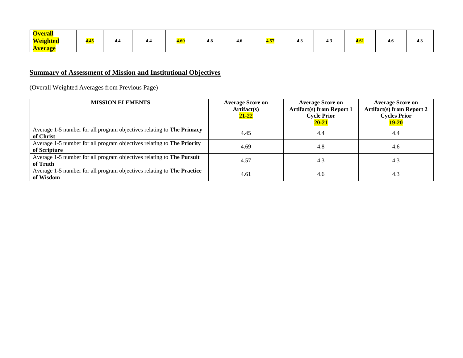| <b>Overall</b>  |             |     |     |             |     |     |             |     |     |      |     |     |
|-----------------|-------------|-----|-----|-------------|-----|-----|-------------|-----|-----|------|-----|-----|
| <b>Weighted</b> | <b>4.45</b> | 4.4 | 4.4 | <u>4.69</u> | 4.8 | 4.6 | <u>4.57</u> | 4.3 | 4.3 | 4.61 | 4.0 | 4.5 |
| <b>Average</b>  |             |     |     |             |     |     |             |     |     |      |     |     |

### **Summary of Assessment of Mission and Institutional Objectives**

(Overall Weighted Averages from Previous Page)

| <b>MISSION ELEMENTS</b>                                                                | <b>Average Score on</b><br>Artifact(s)<br>$21 - 22$ | <b>Average Score on</b><br><b>Artifact(s) from Report 1</b><br><b>Cycle Prior</b><br>$20 - 21$ | <b>Average Score on</b><br><b>Artifact(s) from Report 2</b><br><b>Cycles Prior</b><br>$19 - 20$ |
|----------------------------------------------------------------------------------------|-----------------------------------------------------|------------------------------------------------------------------------------------------------|-------------------------------------------------------------------------------------------------|
| Average 1-5 number for all program objectives relating to The Primacy<br>of Christ     | 4.45                                                | 4.4                                                                                            | 4.4                                                                                             |
| Average 1-5 number for all program objectives relating to The Priority<br>of Scripture | 4.69                                                | 4.8                                                                                            | 4.6                                                                                             |
| Average 1-5 number for all program objectives relating to The Pursuit<br>of Truth      | 4.57                                                | 4.3                                                                                            | 4.3                                                                                             |
| Average 1-5 number for all program objectives relating to The Practice<br>of Wisdom    | 4.61                                                | 4.6                                                                                            | 4.3                                                                                             |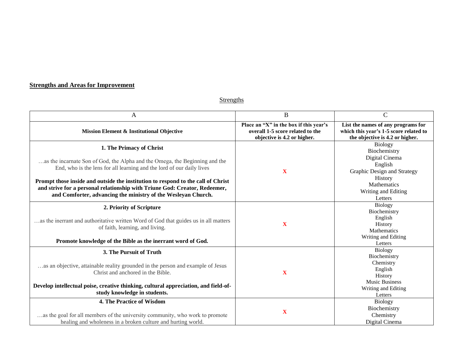### **Strengths and Areas for Improvement**

**Strengths** 

| A                                                                                                                                                                                                                                                                                                                                                  | $\bf{B}$                                                                                                  | $\mathbf C$                                                                                                                                        |
|----------------------------------------------------------------------------------------------------------------------------------------------------------------------------------------------------------------------------------------------------------------------------------------------------------------------------------------------------|-----------------------------------------------------------------------------------------------------------|----------------------------------------------------------------------------------------------------------------------------------------------------|
| Mission Element & Institutional Objective                                                                                                                                                                                                                                                                                                          | Place an "X" in the box if this year's<br>overall 1-5 score related to the<br>objective is 4.2 or higher. | List the names of any programs for<br>which this year's 1-5 score related to<br>the objective is 4.2 or higher.                                    |
| 1. The Primacy of Christ<br>as the incarnate Son of God, the Alpha and the Omega, the Beginning and the<br>End, who is the lens for all learning and the lord of our daily lives<br>Prompt those inside and outside the institution to respond to the call of Christ<br>and strive for a personal relationship with Triune God: Creator, Redeemer, | X                                                                                                         | <b>Biology</b><br>Biochemistry<br>Digital Cinema<br>English<br>Graphic Design and Strategy<br>History<br><b>Mathematics</b><br>Writing and Editing |
| and Comforter, advancing the ministry of the Wesleyan Church.                                                                                                                                                                                                                                                                                      |                                                                                                           | Letters                                                                                                                                            |
| 2. Priority of Scripture<br>as the inerrant and authoritative written Word of God that guides us in all matters<br>of faith, learning, and living.<br>Promote knowledge of the Bible as the inerrant word of God.                                                                                                                                  | X                                                                                                         | <b>Biology</b><br>Biochemistry<br>English<br>History<br>Mathematics<br>Writing and Editing<br>Letters                                              |
| 3. The Pursuit of Truth<br>as an objective, attainable reality grounded in the person and example of Jesus<br>Christ and anchored in the Bible.<br>Develop intellectual poise, creative thinking, cultural appreciation, and field-of-<br>study knowledge in students.                                                                             | X                                                                                                         | Biology<br>Biochemistry<br>Chemistry<br>English<br>History<br><b>Music Business</b><br>Writing and Editing<br>Letters                              |
| 4. The Practice of Wisdom<br>as the goal for all members of the university community, who work to promote<br>healing and wholeness in a broken culture and hurting world.                                                                                                                                                                          | $\mathbf X$                                                                                               | <b>Biology</b><br>Biochemistry<br>Chemistry<br>Digital Cinema                                                                                      |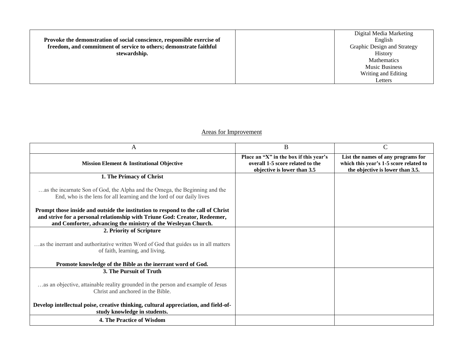|                                                                         | Digital Media Marketing     |
|-------------------------------------------------------------------------|-----------------------------|
| Provoke the demonstration of social conscience, responsible exercise of | English                     |
| freedom, and commitment of service to others; demonstrate faithful      | Graphic Design and Strategy |
| stewardship.                                                            | History                     |
|                                                                         | <b>Mathematics</b>          |
|                                                                         | <b>Music Business</b>       |
|                                                                         | Writing and Editing         |
|                                                                         | Letters                     |
|                                                                         |                             |

### Areas for Improvement

| A                                                                                                                                                    | B                                                                                                         | $\mathbf C$                                                                                                      |
|------------------------------------------------------------------------------------------------------------------------------------------------------|-----------------------------------------------------------------------------------------------------------|------------------------------------------------------------------------------------------------------------------|
| <b>Mission Element &amp; Institutional Objective</b>                                                                                                 | Place an "X" in the box if this year's<br>overall 1-5 score related to the<br>objective is lower than 3.5 | List the names of any programs for<br>which this year's 1-5 score related to<br>the objective is lower than 3.5. |
| 1. The Primacy of Christ                                                                                                                             |                                                                                                           |                                                                                                                  |
| as the incarnate Son of God, the Alpha and the Omega, the Beginning and the<br>End, who is the lens for all learning and the lord of our daily lives |                                                                                                           |                                                                                                                  |
| Prompt those inside and outside the institution to respond to the call of Christ                                                                     |                                                                                                           |                                                                                                                  |
| and strive for a personal relationship with Triune God: Creator, Redeemer,<br>and Comforter, advancing the ministry of the Wesleyan Church.          |                                                                                                           |                                                                                                                  |
| 2. Priority of Scripture                                                                                                                             |                                                                                                           |                                                                                                                  |
| as the inerrant and authoritative written Word of God that guides us in all matters<br>of faith, learning, and living.                               |                                                                                                           |                                                                                                                  |
| Promote knowledge of the Bible as the inerrant word of God.                                                                                          |                                                                                                           |                                                                                                                  |
| 3. The Pursuit of Truth                                                                                                                              |                                                                                                           |                                                                                                                  |
| as an objective, attainable reality grounded in the person and example of Jesus<br>Christ and anchored in the Bible.                                 |                                                                                                           |                                                                                                                  |
| Develop intellectual poise, creative thinking, cultural appreciation, and field-of-<br>study knowledge in students.                                  |                                                                                                           |                                                                                                                  |
| 4. The Practice of Wisdom                                                                                                                            |                                                                                                           |                                                                                                                  |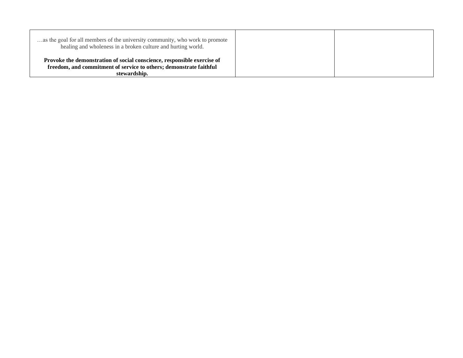| as the goal for all members of the university community, who work to promote<br>healing and wholeness in a broken culture and hurting world. |  |
|----------------------------------------------------------------------------------------------------------------------------------------------|--|
| Provoke the demonstration of social conscience, responsible exercise of                                                                      |  |
| freedom, and commitment of service to others; demonstrate faithful                                                                           |  |
| stewardship.                                                                                                                                 |  |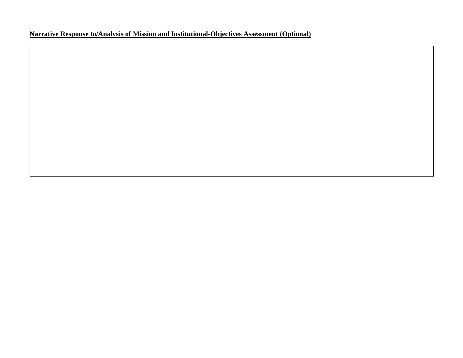### **Narrative Response to/Analysis of Mission and Institutional-Objectives Assessment (Optional)**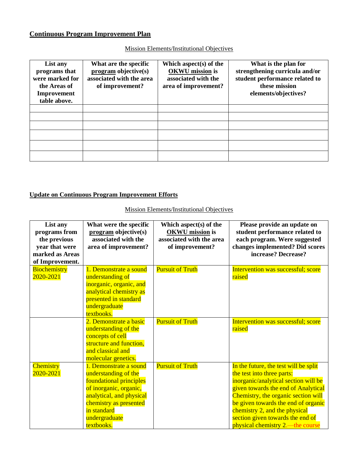### **Continuous Program Improvement Plan**

| List any<br>programs that<br>were marked for<br>the Areas of<br>Improvement<br>table above. | What are the specific<br>$program\ objective(s)$<br>associated with the area<br>of improvement? | Which aspect $(s)$ of the<br><b>OKWU</b> mission is<br>associated with the<br>area of improvement? | What is the plan for<br>strengthening curricula and/or<br>student performance related to<br>these mission<br>elements/objectives? |
|---------------------------------------------------------------------------------------------|-------------------------------------------------------------------------------------------------|----------------------------------------------------------------------------------------------------|-----------------------------------------------------------------------------------------------------------------------------------|
|                                                                                             |                                                                                                 |                                                                                                    |                                                                                                                                   |
|                                                                                             |                                                                                                 |                                                                                                    |                                                                                                                                   |
|                                                                                             |                                                                                                 |                                                                                                    |                                                                                                                                   |
|                                                                                             |                                                                                                 |                                                                                                    |                                                                                                                                   |
|                                                                                             |                                                                                                 |                                                                                                    |                                                                                                                                   |
|                                                                                             |                                                                                                 |                                                                                                    |                                                                                                                                   |

Mission Elements/Institutional Objectives

### **Update on Continuous Program Improvement Efforts**

### Mission Elements/Institutional Objectives

| List any<br>programs from<br>the previous | What were the specific<br>program objective(s)<br>associated with the | Which aspect $(s)$ of the<br><b>OKWU</b> mission is<br>associated with the area | Please provide an update on<br>student performance related to<br>each program. Were suggested |
|-------------------------------------------|-----------------------------------------------------------------------|---------------------------------------------------------------------------------|-----------------------------------------------------------------------------------------------|
| year that were                            | area of improvement?                                                  | of improvement?                                                                 | changes implemented? Did scores                                                               |
| marked as Areas                           |                                                                       |                                                                                 | increase? Decrease?                                                                           |
| of Improvement.                           |                                                                       |                                                                                 |                                                                                               |
| <b>Biochemistry</b>                       | 1. Demonstrate a sound                                                | <b>Pursuit of Truth</b>                                                         | Intervention was successful; score                                                            |
| 2020-2021                                 | understanding of                                                      |                                                                                 | raised                                                                                        |
|                                           | inorganic, organic, and                                               |                                                                                 |                                                                                               |
|                                           | analytical chemistry as                                               |                                                                                 |                                                                                               |
|                                           | presented in standard                                                 |                                                                                 |                                                                                               |
|                                           | undergraduate                                                         |                                                                                 |                                                                                               |
|                                           | textbooks.                                                            |                                                                                 |                                                                                               |
|                                           | 2. Demonstrate a basic                                                | <b>Pursuit of Truth</b>                                                         | Intervention was successful; score                                                            |
|                                           | understanding of the                                                  |                                                                                 | raised                                                                                        |
|                                           | concepts of cell                                                      |                                                                                 |                                                                                               |
|                                           | structure and function,                                               |                                                                                 |                                                                                               |
|                                           | and classical and                                                     |                                                                                 |                                                                                               |
|                                           | molecular genetics.                                                   |                                                                                 |                                                                                               |
| <b>Chemistry</b>                          | 1. Demonstrate a sound                                                | <b>Pursuit of Truth</b>                                                         | In the future, the test will be split                                                         |
| 2020-2021                                 | understanding of the                                                  |                                                                                 | the test into three parts:                                                                    |
|                                           | foundational principles                                               |                                                                                 | inorganic/analytical section will be                                                          |
|                                           | of inorganic, organic,                                                |                                                                                 | given towards the end of Analytical                                                           |
|                                           | analytical, and physical                                              |                                                                                 | Chemistry, the organic section will                                                           |
|                                           | chemistry as presented                                                |                                                                                 | be given towards the end of organic                                                           |
|                                           | in standard                                                           |                                                                                 | chemistry 2, and the physical                                                                 |
|                                           | undergraduate                                                         |                                                                                 | section given towards the end of                                                              |
|                                           | textbooks.                                                            |                                                                                 | physical chemistry 2.—the course                                                              |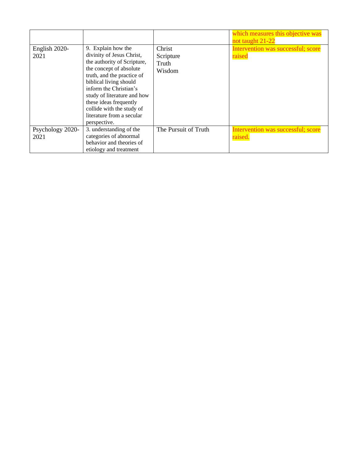| English 2020-<br>2021    | 9. Explain how the<br>divinity of Jesus Christ,<br>the authority of Scripture,<br>the concept of absolute<br>truth, and the practice of<br>biblical living should<br>inform the Christian's<br>study of literature and how<br>these ideas frequently<br>collide with the study of<br>literature from a secular<br>perspective. | Christ<br>Scripture<br>Truth<br>Wisdom | which measures this objective was<br>not taught 21-22<br>Intervention was successful; score<br>raised |
|--------------------------|--------------------------------------------------------------------------------------------------------------------------------------------------------------------------------------------------------------------------------------------------------------------------------------------------------------------------------|----------------------------------------|-------------------------------------------------------------------------------------------------------|
| Psychology 2020-<br>2021 | 3. understanding of the<br>categories of abnormal<br>behavior and theories of<br>etiology and treatment                                                                                                                                                                                                                        | The Pursuit of Truth                   | Intervention was successful; score<br>raised.                                                         |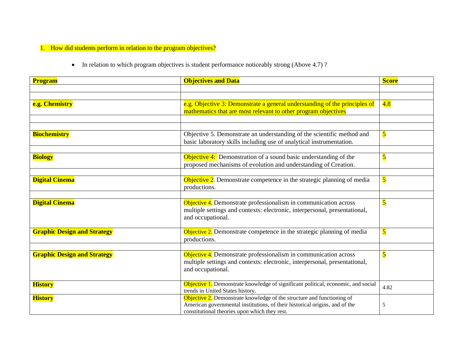1. How did students perform in relation to the program objectives?

• In relation to which program objectives is student performance noticeably strong (Above 4.7)?

| <b>Program</b>                     | <b>Objectives and Data</b>                                                                                                                                                                             | <b>Score</b>            |
|------------------------------------|--------------------------------------------------------------------------------------------------------------------------------------------------------------------------------------------------------|-------------------------|
|                                    |                                                                                                                                                                                                        |                         |
| e.g. Chemistry                     | e.g. Objective 3: Demonstrate a general understanding of the principles of<br>mathematics that are most relevant to other program objectives                                                           | 4.8                     |
|                                    |                                                                                                                                                                                                        |                         |
| <b>Biochemistry</b>                | Objective 5. Demonstrate an understanding of the scientific method and<br>basic laboratory skills including use of analytical instrumentation.                                                         | $\overline{\mathbf{5}}$ |
| <b>Biology</b>                     | Objective 4: Demonstration of a sound basic understanding of the<br>proposed mechanisms of evolution and understanding of Creation.                                                                    | $\overline{\mathbf{5}}$ |
| <b>Digital Cinema</b>              | Objective 2. Demonstrate competence in the strategic planning of media<br>productions.                                                                                                                 | $\overline{\mathbf{5}}$ |
| <b>Digital Cinema</b>              | Objective 4. Demonstrate professionalism in communication across<br>multiple settings and contexts: electronic, interpersonal, presentational,<br>and occupational.                                    | $\overline{\mathbf{5}}$ |
| <b>Graphic Design and Strategy</b> | Objective 2. Demonstrate competence in the strategic planning of media<br>productions.                                                                                                                 | $\overline{\mathbf{5}}$ |
| <b>Graphic Design and Strategy</b> | Objective 4. Demonstrate professionalism in communication across<br>multiple settings and contexts: electronic, interpersonal, presentational,<br>and occupational.                                    | $\overline{\mathbf{5}}$ |
| <b>History</b>                     | Objective 1. Demonstrate knowledge of significant political, economic, and social<br>trends in United States history.                                                                                  | 4.82                    |
| <b>History</b>                     | Objective 2. Demonstrate knowledge of the structure and functioning of<br>American governmental institutions, of their historical origins, and of the<br>constitutional theories upon which they rest. | 5                       |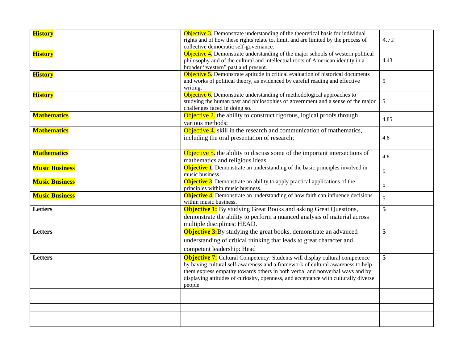| <b>History</b>        | Objective 3. Demonstrate understanding of the theoretical basis for individual                                                                                  |                |  |
|-----------------------|-----------------------------------------------------------------------------------------------------------------------------------------------------------------|----------------|--|
|                       | rights and of how these rights relate to, limit, and are limited by the process of                                                                              | 4.72           |  |
|                       | collective democratic self-governance.                                                                                                                          |                |  |
| <b>History</b>        | Objective 4. Demonstrate understanding of the major schools of western political                                                                                |                |  |
|                       | philosophy and of the cultural and intellectual roots of American identity in a                                                                                 | 4.43           |  |
|                       | broader "western" past and present.                                                                                                                             |                |  |
| <b>History</b>        | Objective 5. Demonstrate aptitude in critical evaluation of historical documents                                                                                |                |  |
|                       | and works of political theory, as evidenced by careful reading and effective                                                                                    | $\sqrt{5}$     |  |
|                       | writing.<br>Objective 6. Demonstrate understanding of methodological approaches to                                                                              |                |  |
| <b>History</b>        | studying the human past and philosophies of government and a sense of the major                                                                                 | 5              |  |
|                       | challenges faced in doing so.                                                                                                                                   |                |  |
| <b>Mathematics</b>    | Objective 2. the ability to construct rigorous, logical proofs through                                                                                          |                |  |
|                       | various methods;                                                                                                                                                | 4.85           |  |
| <b>Mathematics</b>    | Objective 4. skill in the research and communication of mathematics,                                                                                            |                |  |
|                       | including the oral presentation of research;                                                                                                                    | 4.8            |  |
|                       |                                                                                                                                                                 |                |  |
| <b>Mathematics</b>    |                                                                                                                                                                 |                |  |
|                       | <b>Objective 5.</b> the ability to discuss some of the important intersections of                                                                               | 4.8            |  |
|                       | mathematics and religious ideas.<br><b>Objective 1.</b> Demonstrate an understanding of the basic principles involved in                                        |                |  |
| <b>Music Business</b> | music business.                                                                                                                                                 | 5              |  |
| <b>Music Business</b> | <b>Objective 3.</b> Demonstrate an ability to apply practical applications of the                                                                               |                |  |
|                       | principles within music business.                                                                                                                               | 5              |  |
| <b>Music Business</b> | <b>Objective 4.</b> Demonstrate an understanding of how faith can influence decisions                                                                           |                |  |
|                       | within music business.                                                                                                                                          | 5              |  |
| <b>Letters</b>        | <b>Objective 1:</b> By studying Great Books and asking Great Questions,                                                                                         | $\overline{5}$ |  |
|                       | demonstrate the ability to perform a nuanced analysis of material across                                                                                        |                |  |
|                       | multiple disciplines: HEAD.                                                                                                                                     |                |  |
| Letters               | <b>Objective 3:</b> By studying the great books, demonstrate an advanced                                                                                        | 5              |  |
|                       | understanding of critical thinking that leads to great character and                                                                                            |                |  |
|                       | competent leadership: Head                                                                                                                                      |                |  |
|                       |                                                                                                                                                                 |                |  |
| Letters               | <b>Objective 7:</b> Cultural Competency: Students will display cultural competence                                                                              | 5              |  |
|                       | by having cultural self-awareness and a framework of cultural awareness to help<br>them express empathy towards others in both verbal and nonverbal ways and by |                |  |
|                       | displaying attitudes of curiosity, openness, and acceptance with culturally diverse                                                                             |                |  |
|                       | people                                                                                                                                                          |                |  |
|                       |                                                                                                                                                                 |                |  |
|                       |                                                                                                                                                                 |                |  |
|                       |                                                                                                                                                                 |                |  |
|                       |                                                                                                                                                                 |                |  |
|                       |                                                                                                                                                                 |                |  |
|                       |                                                                                                                                                                 |                |  |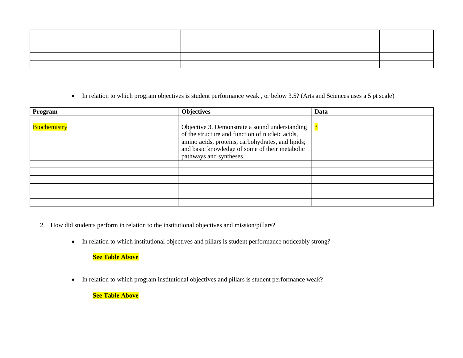| $\overline{a}$ . The contract of the contract of the contract of the contract of the contract of the contract of the contract of the contract of the contract of the contract of the contract of the contract of the contract of th |  |
|-------------------------------------------------------------------------------------------------------------------------------------------------------------------------------------------------------------------------------------|--|
|                                                                                                                                                                                                                                     |  |
|                                                                                                                                                                                                                                     |  |
|                                                                                                                                                                                                                                     |  |
|                                                                                                                                                                                                                                     |  |

• In relation to which program objectives is student performance weak, or below 3.5? (Arts and Sciences uses a 5 pt scale)

| Program             | <b>Objectives</b>                                                                                                                                                                                                                   | Data |
|---------------------|-------------------------------------------------------------------------------------------------------------------------------------------------------------------------------------------------------------------------------------|------|
|                     |                                                                                                                                                                                                                                     |      |
| <b>Biochemistry</b> | Objective 3. Demonstrate a sound understanding<br>of the structure and function of nucleic acids,<br>amino acids, proteins, carbohydrates, and lipids;<br>and basic knowledge of some of their metabolic<br>pathways and syntheses. |      |
|                     |                                                                                                                                                                                                                                     |      |
|                     |                                                                                                                                                                                                                                     |      |
|                     |                                                                                                                                                                                                                                     |      |
|                     |                                                                                                                                                                                                                                     |      |
|                     |                                                                                                                                                                                                                                     |      |
|                     |                                                                                                                                                                                                                                     |      |

- 2. How did students perform in relation to the institutional objectives and mission/pillars?
	- In relation to which institutional objectives and pillars is student performance noticeably strong?

### **See Table Above**

• In relation to which program institutional objectives and pillars is student performance weak?

**See Table Above**